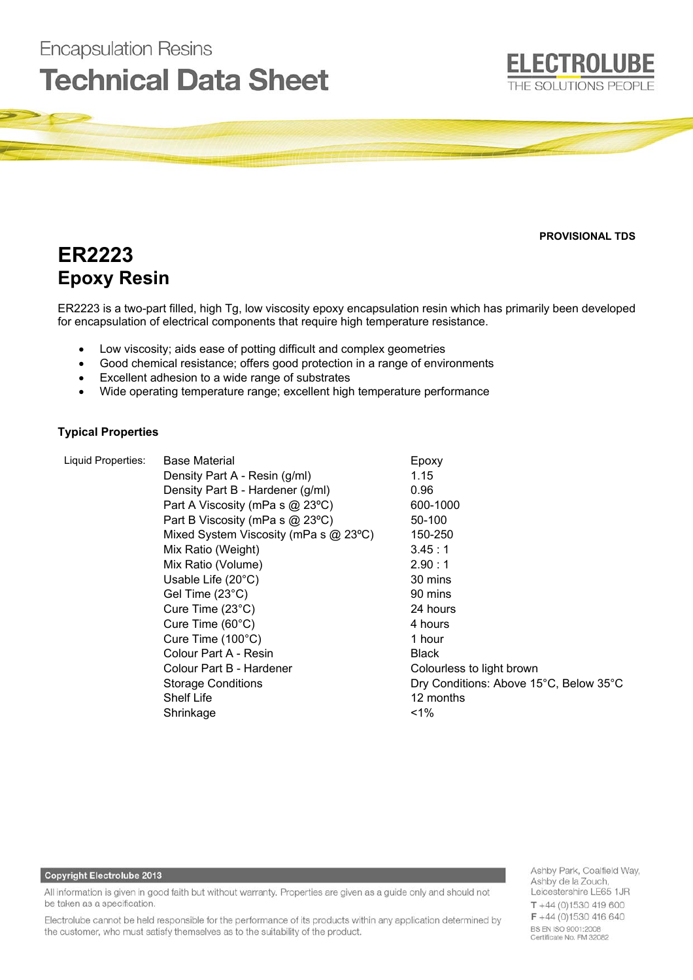# **Encapsulation Resins Technical Data Sheet**

**PROVISIONAL TDS** 

**ELECTROLUBE** 

THE SOLUTIONS PEOPLE

# **ER2223 Epoxy Resin**

ER2223 is a two-part filled, high Tg, low viscosity epoxy encapsulation resin which has primarily been developed for encapsulation of electrical components that require high temperature resistance.

- Low viscosity; aids ease of potting difficult and complex geometries
- Good chemical resistance; offers good protection in a range of environments
- Excellent adhesion to a wide range of substrates
- Wide operating temperature range; excellent high temperature performance

# **Typical Properties**

Liquid Properties: Base Material **Example 20** Epoxy Density Part A - Resin (g/ml) 1.15 Density Part B - Hardener (g/ml) 0.96 Part A Viscosity (mPa s  $\omega$  23°C) 600-1000 Part B Viscosity (mPa s  $@$  23°C) 50-100 Mixed System Viscosity (mPa s @ 23°C) 150-250 Mix Ratio (Weight) 3.45 : 1 Mix Ratio (Volume) 2.90 : 1 Usable Life (20°C) 30 mins Gel Time (23<sup>°</sup>C) 90 mins Cure Time (23°C) 24 hours Cure Time (60°C) 4 hours Cure Time (100°C) 1 hour Colour Part A - Resin Black Colour Part B - Hardener Colourless to light brown Storage Conditions Dry Conditions: Above 15°C, Below 35°C Shelf Life 12 months Shrinkage <1%

#### **Copyright Electrolube 2013**

All information is given in good faith but without warranty. Properties are given as a guide only and should not be taken as a specification.

Electrolube cannot be held responsible for the performance of its products within any application determined by the customer, who must satisfy themselves as to the suitability of the product.

Ashby Park, Coalfield Way, Ashby de la Zouch, Leicestershire LE65 1JR  $T + 44(0)1530419600$ F +44 (0)1530 416 640 BS EN ISO 9001:2008 Certificate No. FM 32082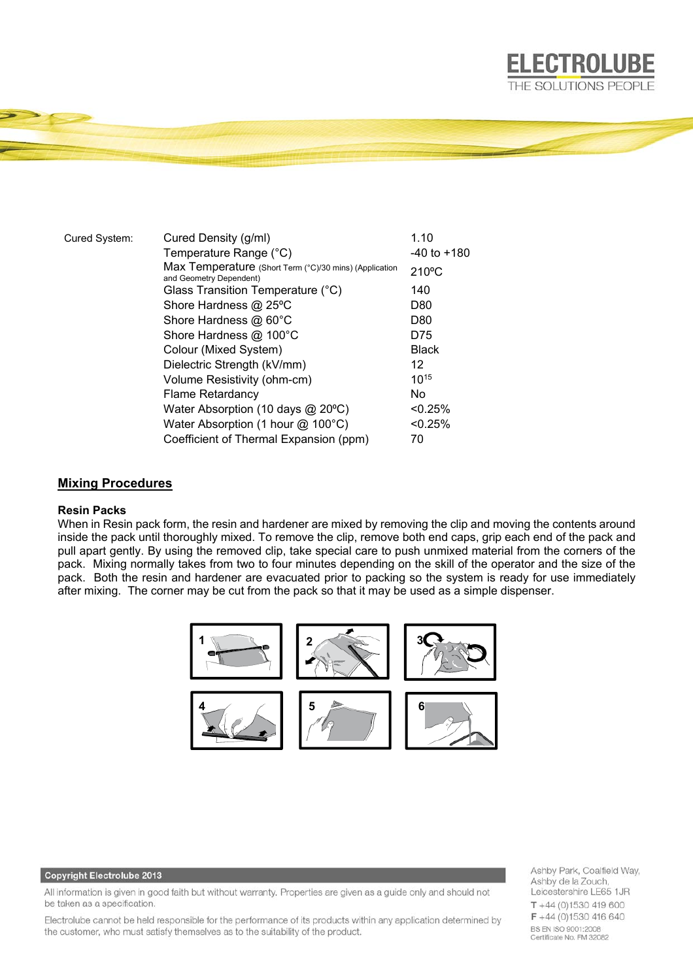

| Cured System: | Cured Density (g/ml)                                                              | 1.10            |
|---------------|-----------------------------------------------------------------------------------|-----------------|
|               | Temperature Range (°C)                                                            | $-40$ to $+180$ |
|               | Max Temperature (Short Term (°C)/30 mins) (Application<br>and Geometry Dependent) | $210^{\circ}$ C |
|               | Glass Transition Temperature (°C)                                                 | 140             |
|               | Shore Hardness @ 25°C                                                             | D80             |
|               | Shore Hardness @ 60°C                                                             | D80             |
|               | Shore Hardness @ 100°C                                                            | D75             |
|               | Colour (Mixed System)                                                             | <b>Black</b>    |
|               | Dielectric Strength (kV/mm)                                                       | 12              |
|               | Volume Resistivity (ohm-cm)                                                       | $10^{15}$       |
|               | <b>Flame Retardancy</b>                                                           | No.             |
|               | Water Absorption (10 days $@$ 20 $°C$ )                                           | $< 0.25\%$      |
|               | Water Absorption (1 hour $@$ 100 $°C$ )                                           | < 0.25%         |
|               | Coefficient of Thermal Expansion (ppm)                                            | 70              |

## **Mixing Procedures**

# **Resin Packs**

When in Resin pack form, the resin and hardener are mixed by removing the clip and moving the contents around inside the pack until thoroughly mixed. To remove the clip, remove both end caps, grip each end of the pack and pull apart gently. By using the removed clip, take special care to push unmixed material from the corners of the pack. Mixing normally takes from two to four minutes depending on the skill of the operator and the size of the pack. Both the resin and hardener are evacuated prior to packing so the system is ready for use immediately after mixing. The corner may be cut from the pack so that it may be used as a simple dispenser.



### Copyright Electrolube 2013

All information is given in good faith but without warranty. Properties are given as a guide only and should not be taken as a specification.

Electrolube cannot be held responsible for the performance of its products within any application determined by the customer, who must satisfy themselves as to the suitability of the product.

Ashby Park, Coalfield Way, Ashby de la Zouch, Leicestershire LE65 1JR  $T + 44(0)1530419600$ F +44 (0)1530 416 640 BS EN ISO 9001:2008 Certificate No. FM 32082

**ELECTROLUBE**